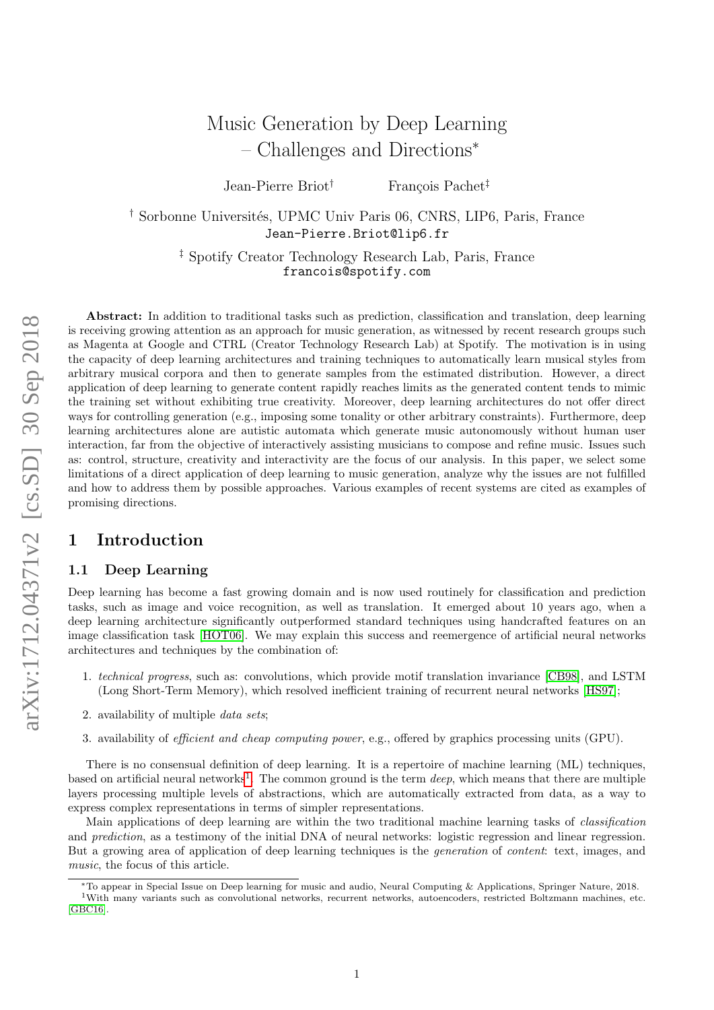# Music Generation by Deep Learning – Challenges and Directions<sup>∗</sup>

Jean-Pierre Briot<sup>†</sup> François Pachet<sup>‡</sup>

<sup>†</sup> Sorbonne Universités, UPMC Univ Paris 06, CNRS, LIP6, Paris, France Jean-Pierre.Briot@lip6.fr

> ‡ Spotify Creator Technology Research Lab, Paris, France francois@spotify.com

Abstract: In addition to traditional tasks such as prediction, classification and translation, deep learning is receiving growing attention as an approach for music generation, as witnessed by recent research groups such as Magenta at Google and CTRL (Creator Technology Research Lab) at Spotify. The motivation is in using the capacity of deep learning architectures and training techniques to automatically learn musical styles from arbitrary musical corpora and then to generate samples from the estimated distribution. However, a direct application of deep learning to generate content rapidly reaches limits as the generated content tends to mimic the training set without exhibiting true creativity. Moreover, deep learning architectures do not offer direct ways for controlling generation (e.g., imposing some tonality or other arbitrary constraints). Furthermore, deep learning architectures alone are autistic automata which generate music autonomously without human user interaction, far from the objective of interactively assisting musicians to compose and refine music. Issues such as: control, structure, creativity and interactivity are the focus of our analysis. In this paper, we select some limitations of a direct application of deep learning to music generation, analyze why the issues are not fulfilled and how to address them by possible approaches. Various examples of recent systems are cited as examples of promising directions.

# <span id="page-0-1"></span>1 Introduction

# 1.1 Deep Learning

Deep learning has become a fast growing domain and is now used routinely for classification and prediction tasks, such as image and voice recognition, as well as translation. It emerged about 10 years ago, when a deep learning architecture significantly outperformed standard techniques using handcrafted features on an image classification task [\[HOT06\]](#page-15-0). We may explain this success and reemergence of artificial neural networks architectures and techniques by the combination of:

- 1. technical progress, such as: convolutions, which provide motif translation invariance [\[CB98\]](#page-14-0), and LSTM (Long Short-Term Memory), which resolved inefficient training of recurrent neural networks [\[HS97\]](#page-15-1);
- 2. availability of multiple data sets;
- 3. availability of efficient and cheap computing power, e.g., offered by graphics processing units (GPU).

There is no consensual definition of deep learning. It is a repertoire of machine learning (ML) techniques, based on artificial neural networks<sup>[1](#page-0-0)</sup>. The common ground is the term *deep*, which means that there are multiple layers processing multiple levels of abstractions, which are automatically extracted from data, as a way to express complex representations in terms of simpler representations.

Main applications of deep learning are within the two traditional machine learning tasks of classification and prediction, as a testimony of the initial DNA of neural networks: logistic regression and linear regression. But a growing area of application of deep learning techniques is the generation of content: text, images, and music, the focus of this article.

<span id="page-0-0"></span><sup>∗</sup>To appear in Special Issue on Deep learning for music and audio, Neural Computing & Applications, Springer Nature, 2018. <sup>1</sup>With many variants such as convolutional networks, recurrent networks, autoencoders, restricted Boltzmann machines, etc. [\[GBC16\]](#page-15-2).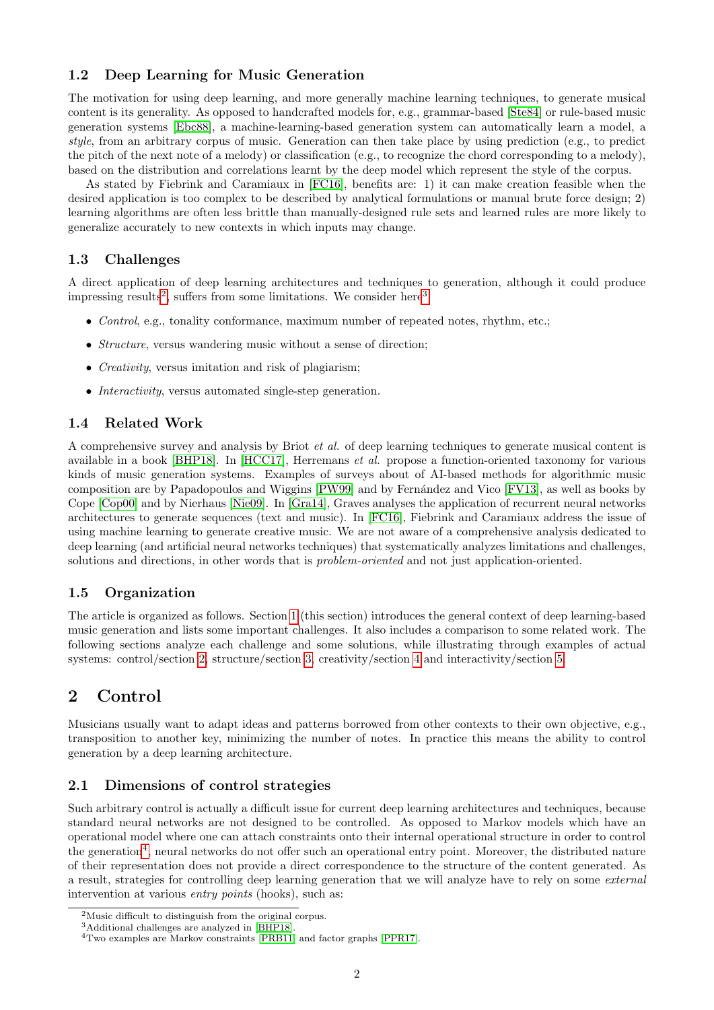# 1.2 Deep Learning for Music Generation

The motivation for using deep learning, and more generally machine learning techniques, to generate musical content is its generality. As opposed to handcrafted models for, e.g., grammar-based [\[Ste84\]](#page-16-0) or rule-based music generation systems [\[Ebc88\]](#page-14-1), a machine-learning-based generation system can automatically learn a model, a style, from an arbitrary corpus of music. Generation can then take place by using prediction (e.g., to predict the pitch of the next note of a melody) or classification (e.g., to recognize the chord corresponding to a melody), based on the distribution and correlations learnt by the deep model which represent the style of the corpus.

As stated by Fiebrink and Caramiaux in [\[FC16\]](#page-14-2), benefits are: 1) it can make creation feasible when the desired application is too complex to be described by analytical formulations or manual brute force design; 2) learning algorithms are often less brittle than manually-designed rule sets and learned rules are more likely to generalize accurately to new contexts in which inputs may change.

# 1.3 Challenges

A direct application of deep learning architectures and techniques to generation, although it could produce impressing results<sup>[2](#page-1-0)</sup>, suffers from some limitations. We consider here<sup>[3](#page-1-1)</sup>:

- Control, e.g., tonality conformance, maximum number of repeated notes, rhythm, etc.;
- *Structure*, versus wandering music without a sense of direction;
- *Creativity*, versus imitation and risk of plagiarism;
- *Interactivity*, versus automated single-step generation.

# 1.4 Related Work

A comprehensive survey and analysis by Briot et al. of deep learning techniques to generate musical content is available in a book [\[BHP18\]](#page-14-3). In [\[HCC17\]](#page-15-3), Herremans et al. propose a function-oriented taxonomy for various kinds of music generation systems. Examples of surveys about of AI-based methods for algorithmic music composition are by Papadopoulos and Wiggins [\[PW99\]](#page-16-1) and by Fernández and Vico [\[FV13\]](#page-15-4), as well as books by Cope [\[Cop00\]](#page-14-4) and by Nierhaus [\[Nie09\]](#page-15-5). In [\[Gra14\]](#page-15-6), Graves analyses the application of recurrent neural networks architectures to generate sequences (text and music). In [\[FC16\]](#page-14-2), Fiebrink and Caramiaux address the issue of using machine learning to generate creative music. We are not aware of a comprehensive analysis dedicated to deep learning (and artificial neural networks techniques) that systematically analyzes limitations and challenges, solutions and directions, in other words that is problem-oriented and not just application-oriented.

# 1.5 Organization

The article is organized as follows. Section [1](#page-0-1) (this section) introduces the general context of deep learning-based music generation and lists some important challenges. It also includes a comparison to some related work. The following sections analyze each challenge and some solutions, while illustrating through examples of actual systems: control/section [2,](#page-1-2) structure/section [3,](#page-9-0) creativity/section [4](#page-10-0) and interactivity/section [5.](#page-12-0)

# <span id="page-1-2"></span>2 Control

Musicians usually want to adapt ideas and patterns borrowed from other contexts to their own objective, e.g., transposition to another key, minimizing the number of notes. In practice this means the ability to control generation by a deep learning architecture.

# 2.1 Dimensions of control strategies

Such arbitrary control is actually a difficult issue for current deep learning architectures and techniques, because standard neural networks are not designed to be controlled. As opposed to Markov models which have an operational model where one can attach constraints onto their internal operational structure in order to control the generation<sup>[4](#page-1-3)</sup>, neural networks do not offer such an operational entry point. Moreover, the distributed nature of their representation does not provide a direct correspondence to the structure of the content generated. As a result, strategies for controlling deep learning generation that we will analyze have to rely on some external intervention at various *entry points* (hooks), such as:

<span id="page-1-0"></span><sup>2</sup>Music difficult to distinguish from the original corpus.

<span id="page-1-1"></span> $^3\mbox{Additional challenges}$  are analyzed in [\[BHP18\]](#page-14-3)

<span id="page-1-3"></span><sup>4</sup>Two examples are Markov constraints [\[PRB11\]](#page-15-7) and factor graphs [\[PPR17\]](#page-15-8).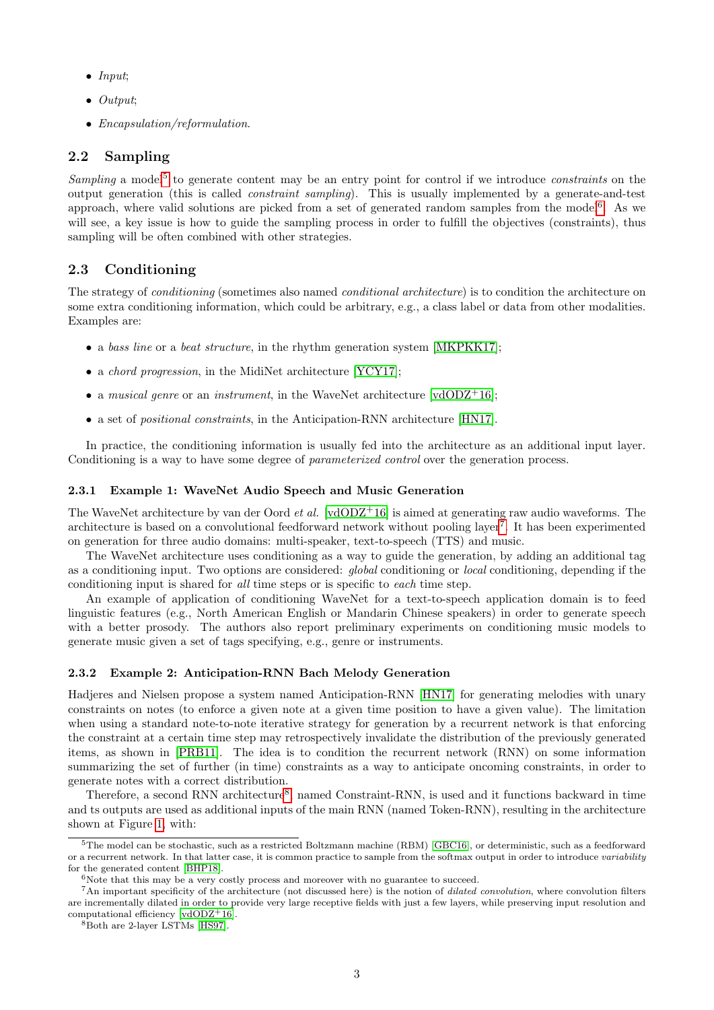- Input;
- Output;
- Encapsulation/reformulation.

# 2.2 Sampling

Sampling a model<sup>[5](#page-2-0)</sup> to generate content may be an entry point for control if we introduce *constraints* on the output generation (this is called constraint sampling). This is usually implemented by a generate-and-test approach, where valid solutions are picked from a set of generated random samples from the model<sup>[6](#page-2-1)</sup>. As we will see, a key issue is how to guide the sampling process in order to fulfill the objectives (constraints), thus sampling will be often combined with other strategies.

## 2.3 Conditioning

The strategy of conditioning (sometimes also named conditional architecture) is to condition the architecture on some extra conditioning information, which could be arbitrary, e.g., a class label or data from other modalities. Examples are:

- a bass line or a beat structure, in the rhythm generation system [\[MKPKK17\]](#page-15-9);
- a *chord progression*, in the MidiNet architecture [\[YCY17\]](#page-16-2);
- a musical genre or an instrument, in the WaveNet architecture  $\lceil \text{vdODZ}^+ 16 \rceil$ ;
- a set of positional constraints, in the Anticipation-RNN architecture [\[HN17\]](#page-15-10).

In practice, the conditioning information is usually fed into the architecture as an additional input layer. Conditioning is a way to have some degree of *parameterized control* over the generation process.

#### <span id="page-2-4"></span>2.3.1 Example 1: WaveNet Audio Speech and Music Generation

The WaveNet architecture by van der Oord *et al.* [\[vdODZ](#page-16-3)<sup>+</sup>16] is aimed at generating raw audio waveforms. The architecture is based on a convolutional feedforward network without pooling layer<sup>[7](#page-2-2)</sup>. It has been experimented on generation for three audio domains: multi-speaker, text-to-speech (TTS) and music.

The WaveNet architecture uses conditioning as a way to guide the generation, by adding an additional tag as a conditioning input. Two options are considered: *global* conditioning or *local* conditioning, depending if the conditioning input is shared for all time steps or is specific to each time step.

An example of application of conditioning WaveNet for a text-to-speech application domain is to feed linguistic features (e.g., North American English or Mandarin Chinese speakers) in order to generate speech with a better prosody. The authors also report preliminary experiments on conditioning music models to generate music given a set of tags specifying, e.g., genre or instruments.

#### <span id="page-2-5"></span>2.3.2 Example 2: Anticipation-RNN Bach Melody Generation

Hadjeres and Nielsen propose a system named Anticipation-RNN [\[HN17\]](#page-15-10) for generating melodies with unary constraints on notes (to enforce a given note at a given time position to have a given value). The limitation when using a standard note-to-note iterative strategy for generation by a recurrent network is that enforcing the constraint at a certain time step may retrospectively invalidate the distribution of the previously generated items, as shown in [\[PRB11\]](#page-15-7). The idea is to condition the recurrent network (RNN) on some information summarizing the set of further (in time) constraints as a way to anticipate oncoming constraints, in order to generate notes with a correct distribution.

Therefore, a second RNN architecture<sup>[8](#page-2-3)</sup>, named Constraint-RNN, is used and it functions backward in time and ts outputs are used as additional inputs of the main RNN (named Token-RNN), resulting in the architecture shown at Figure [1,](#page-3-0) with:

<span id="page-2-0"></span><sup>5</sup>The model can be stochastic, such as a restricted Boltzmann machine (RBM) [\[GBC16\]](#page-15-2), or deterministic, such as a feedforward or a recurrent network. In that latter case, it is common practice to sample from the softmax output in order to introduce variability for the generated content [\[BHP18\]](#page-14-3).

<span id="page-2-2"></span><span id="page-2-1"></span> $6$ Note that this may be a very costly process and moreover with no guarantee to succeed.

<sup>&</sup>lt;sup>7</sup>An important specificity of the architecture (not discussed here) is the notion of *dilated convolution*, where convolution filters are incrementally dilated in order to provide very large receptive fields with just a few layers, while preserving input resolution and computational efficiency [\[vdODZ](#page-16-3)+16].

<span id="page-2-3"></span><sup>8</sup>Both are 2-layer LSTMs [\[HS97\]](#page-15-1).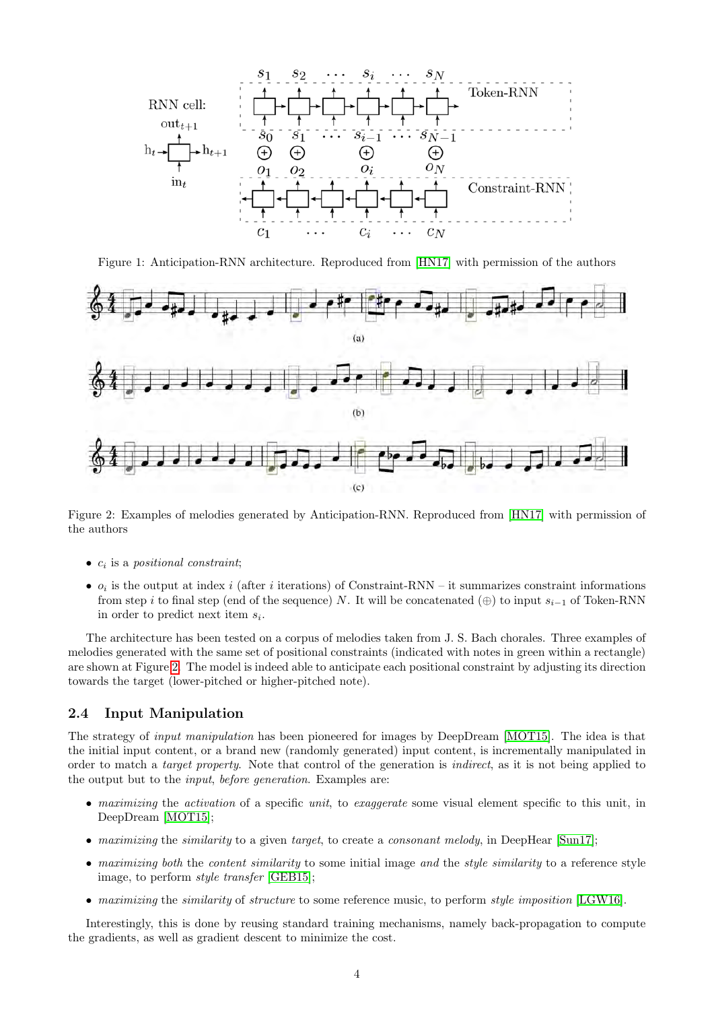

<span id="page-3-0"></span>Figure 1: Anticipation-RNN architecture. Reproduced from [\[HN17\]](#page-15-10) with permission of the authors



<span id="page-3-1"></span>Figure 2: Examples of melodies generated by Anticipation-RNN. Reproduced from [\[HN17\]](#page-15-10) with permission of the authors

- $\bullet$   $c_i$  is a positional constraint;
- $o_i$  is the output at index i (after i iterations) of Constraint-RNN it summarizes constraint informations from step i to final step (end of the sequence) N. It will be concatenated  $(\oplus)$  to input  $s_{i-1}$  of Token-RNN in order to predict next item  $s_i$ .

The architecture has been tested on a corpus of melodies taken from J. S. Bach chorales. Three examples of melodies generated with the same set of positional constraints (indicated with notes in green within a rectangle) are shown at Figure [2.](#page-3-1) The model is indeed able to anticipate each positional constraint by adjusting its direction towards the target (lower-pitched or higher-pitched note).

#### 2.4 Input Manipulation

The strategy of input manipulation has been pioneered for images by DeepDream [\[MOT15\]](#page-15-11). The idea is that the initial input content, or a brand new (randomly generated) input content, is incrementally manipulated in order to match a target property. Note that control of the generation is indirect, as it is not being applied to the output but to the input, before generation. Examples are:

- maximizing the activation of a specific unit, to exaggerate some visual element specific to this unit, in DeepDream [\[MOT15\]](#page-15-11);
- maximizing the similarity to a given target, to create a consonant melody, in DeepHear  $[\text{Sun17}]$ ;
- maximizing both the content similarity to some initial image and the style similarity to a reference style image, to perform style transfer [\[GEB15\]](#page-15-12);
- maximizing the similarity of structure to some reference music, to perform style imposition [\[LGW16\]](#page-15-13).

Interestingly, this is done by reusing standard training mechanisms, namely back-propagation to compute the gradients, as well as gradient descent to minimize the cost.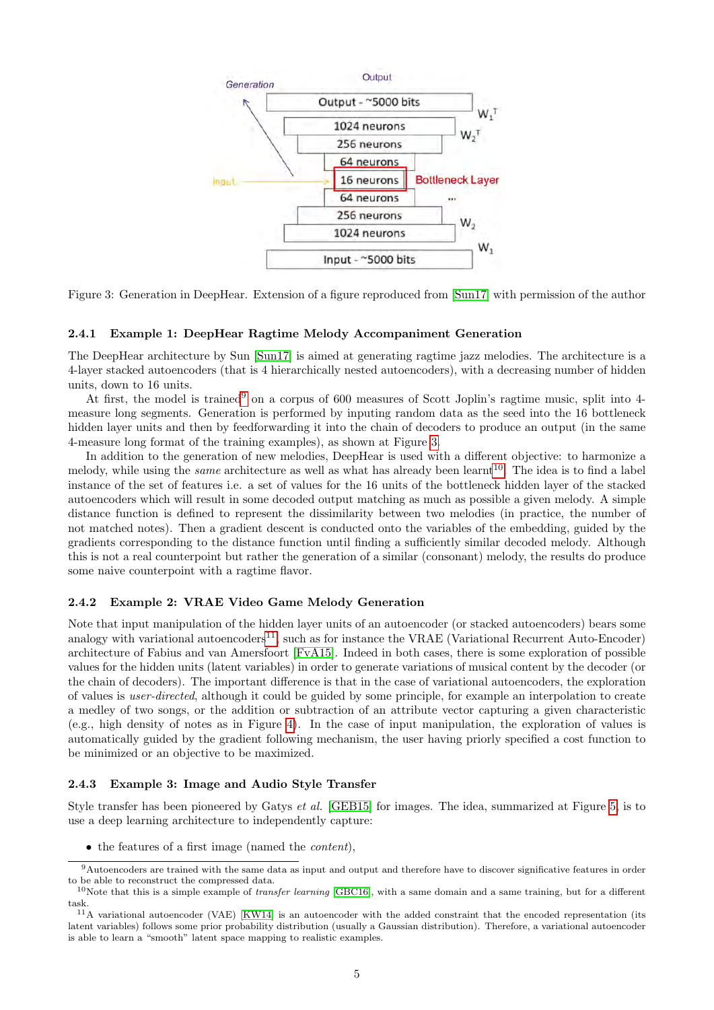

<span id="page-4-1"></span>Figure 3: Generation in DeepHear. Extension of a figure reproduced from [\[Sun17\]](#page-16-4) with permission of the author

#### <span id="page-4-6"></span>2.4.1 Example 1: DeepHear Ragtime Melody Accompaniment Generation

The DeepHear architecture by Sun [\[Sun17\]](#page-16-4) is aimed at generating ragtime jazz melodies. The architecture is a 4-layer stacked autoencoders (that is 4 hierarchically nested autoencoders), with a decreasing number of hidden units, down to 16 units.

At first, the model is trained<sup>[9](#page-4-0)</sup> on a corpus of 600 measures of Scott Joplin's ragtime music, split into 4measure long segments. Generation is performed by inputing random data as the seed into the 16 bottleneck hidden layer units and then by feedforwarding it into the chain of decoders to produce an output (in the same 4-measure long format of the training examples), as shown at Figure [3.](#page-4-1)

In addition to the generation of new melodies, DeepHear is used with a different objective: to harmonize a melody, while using the *same* architecture as well as what has already been learnt<sup>[10](#page-4-2)</sup>. The idea is to find a label instance of the set of features i.e. a set of values for the 16 units of the bottleneck hidden layer of the stacked autoencoders which will result in some decoded output matching as much as possible a given melody. A simple distance function is defined to represent the dissimilarity between two melodies (in practice, the number of not matched notes). Then a gradient descent is conducted onto the variables of the embedding, guided by the gradients corresponding to the distance function until finding a sufficiently similar decoded melody. Although this is not a real counterpoint but rather the generation of a similar (consonant) melody, the results do produce some naive counterpoint with a ragtime flavor.

#### <span id="page-4-5"></span>2.4.2 Example 2: VRAE Video Game Melody Generation

Note that input manipulation of the hidden layer units of an autoencoder (or stacked autoencoders) bears some analogy with variational autoencoders<sup>[11](#page-4-3)</sup>, such as for instance the VRAE (Variational Recurrent Auto-Encoder) architecture of Fabius and van Amersfoort [\[FvA15\]](#page-15-14). Indeed in both cases, there is some exploration of possible values for the hidden units (latent variables) in order to generate variations of musical content by the decoder (or the chain of decoders). The important difference is that in the case of variational autoencoders, the exploration of values is user-directed, although it could be guided by some principle, for example an interpolation to create a medley of two songs, or the addition or subtraction of an attribute vector capturing a given characteristic (e.g., high density of notes as in Figure [4\)](#page-5-0). In the case of input manipulation, the exploration of values is automatically guided by the gradient following mechanism, the user having priorly specified a cost function to be minimized or an objective to be maximized.

#### <span id="page-4-4"></span>2.4.3 Example 3: Image and Audio Style Transfer

Style transfer has been pioneered by Gatys et al. [\[GEB15\]](#page-15-12) for images. The idea, summarized at Figure [5,](#page-6-0) is to use a deep learning architecture to independently capture:

<span id="page-4-0"></span>• the features of a first image (named the *content*),

<sup>9</sup>Autoencoders are trained with the same data as input and output and therefore have to discover significative features in order to be able to reconstruct the compressed data.

<span id="page-4-2"></span> $10$ Note that this is a simple example of *transfer learning* [\[GBC16\]](#page-15-2), with a same domain and a same training, but for a different task.

<span id="page-4-3"></span><sup>&</sup>lt;sup>11</sup>A variational autoencoder (VAE) [\[KW14\]](#page-15-15) is an autoencoder with the added constraint that the encoded representation (its latent variables) follows some prior probability distribution (usually a Gaussian distribution). Therefore, a variational autoencoder is able to learn a "smooth" latent space mapping to realistic examples.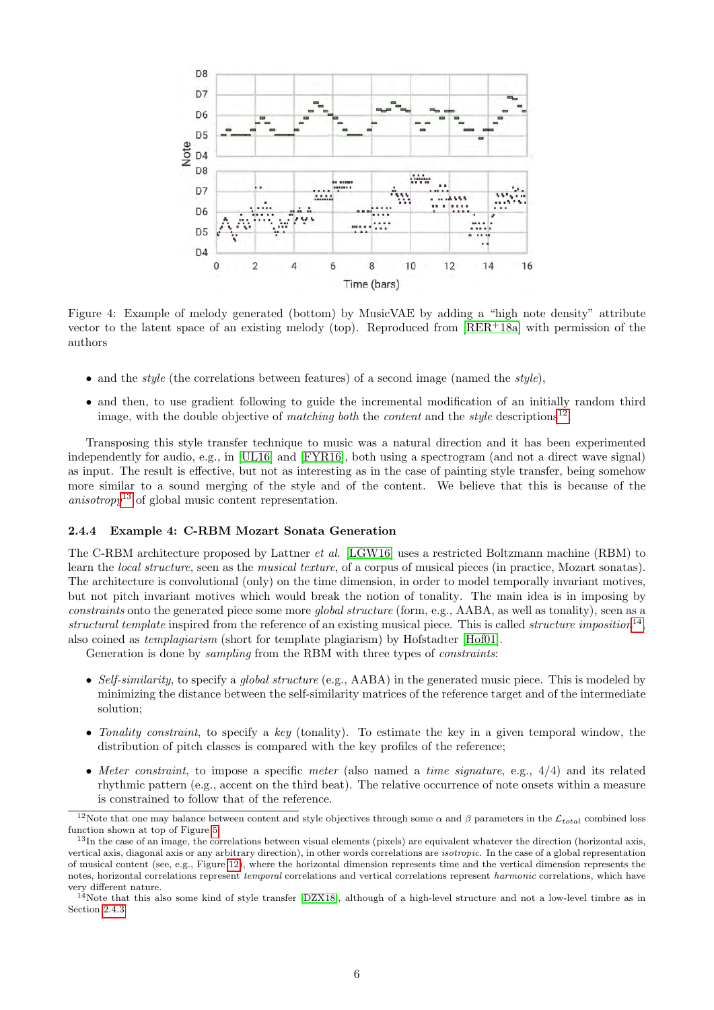

<span id="page-5-0"></span>Figure 4: Example of melody generated (bottom) by MusicVAE by adding a "high note density" attribute vector to the latent space of an existing melody (top). Reproduced from  $[RER^+18a]$  $[RER^+18a]$  with permission of the authors

- and the *style* (the correlations between features) of a second image (named the *style*),
- and then, to use gradient following to guide the incremental modification of an initially random third image, with the double objective of matching both the content and the style descriptions<sup>[12](#page-5-1)</sup>.

Transposing this style transfer technique to music was a natural direction and it has been experimented independently for audio, e.g., in [\[UL16\]](#page-16-6) and [\[FYR16\]](#page-15-16), both using a spectrogram (and not a direct wave signal) as input. The result is effective, but not as interesting as in the case of painting style transfer, being somehow more similar to a sound merging of the style and of the content. We believe that this is because of the anisotropy<sup>[13](#page-5-2)</sup> of global music content representation.

#### <span id="page-5-4"></span>2.4.4 Example 4: C-RBM Mozart Sonata Generation

The C-RBM architecture proposed by Lattner et al. [\[LGW16\]](#page-15-13) uses a restricted Boltzmann machine (RBM) to learn the local structure, seen as the musical texture, of a corpus of musical pieces (in practice, Mozart sonatas). The architecture is convolutional (only) on the time dimension, in order to model temporally invariant motives, but not pitch invariant motives which would break the notion of tonality. The main idea is in imposing by constraints onto the generated piece some more *global structure* (form, e.g., AABA, as well as tonality), seen as a structural template inspired from the reference of an existing musical piece. This is called structure imposition<sup>[14](#page-5-3)</sup>, also coined as templagiarism (short for template plagiarism) by Hofstadter [\[Hof01\]](#page-15-17).

Generation is done by *sampling* from the RBM with three types of *constraints*:

- Self-similarity, to specify a global structure (e.g., AABA) in the generated music piece. This is modeled by minimizing the distance between the self-similarity matrices of the reference target and of the intermediate solution;
- Tonality constraint, to specify a key (tonality). To estimate the key in a given temporal window, the distribution of pitch classes is compared with the key profiles of the reference;
- Meter constraint, to impose a specific meter (also named a time signature, e.g.,  $4/4$ ) and its related rhythmic pattern (e.g., accent on the third beat). The relative occurrence of note onsets within a measure is constrained to follow that of the reference.

<span id="page-5-1"></span><sup>&</sup>lt;sup>12</sup>Note that one may balance between content and style objectives through some  $\alpha$  and  $\beta$  parameters in the  $\mathcal{L}_{total}$  combined loss function shown at top of Figure [5.](#page-6-0)

<span id="page-5-2"></span> $^{13}$ In the case of an image, the correlations between visual elements (pixels) are equivalent whatever the direction (horizontal axis, vertical axis, diagonal axis or any arbitrary direction), in other words correlations are isotropic. In the case of a global representation of musical content (see, e.g., Figure [12\)](#page-12-1), where the horizontal dimension represents time and the vertical dimension represents the notes, horizontal correlations represent *temporal* correlations and vertical correlations represent *harmonic* correlations, which have very different nature.

<span id="page-5-3"></span> $14$ Note that this also some kind of style transfer [\[DZX18\]](#page-14-5), although of a high-level structure and not a low-level timbre as in Section [2.4.3.](#page-4-4)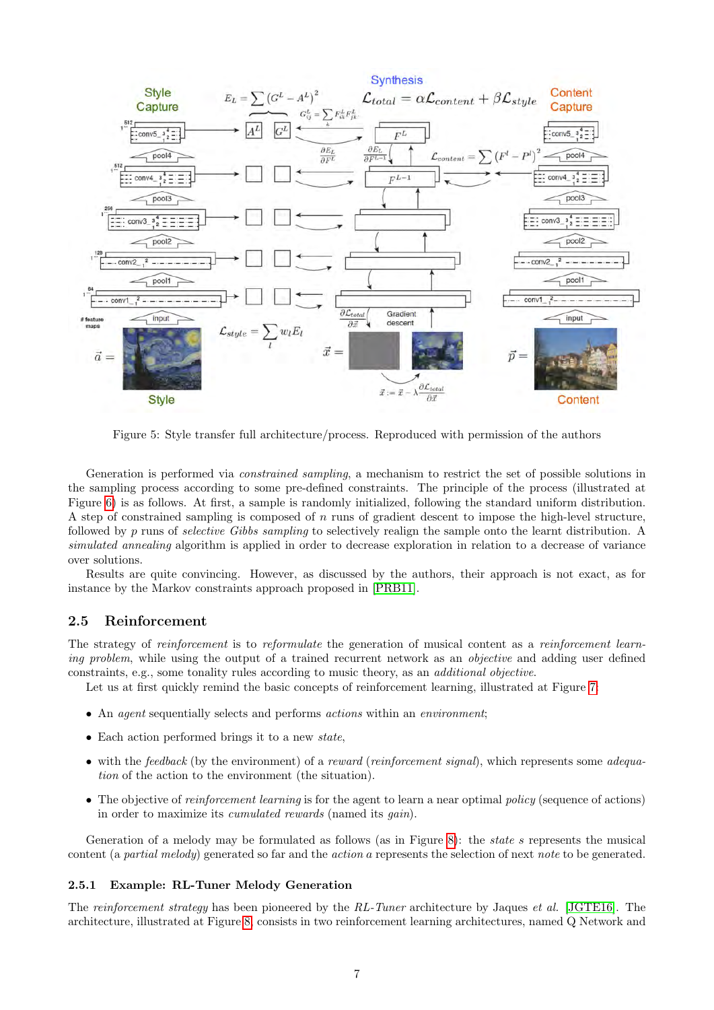

<span id="page-6-0"></span>Figure 5: Style transfer full architecture/process. Reproduced with permission of the authors

Generation is performed via constrained sampling, a mechanism to restrict the set of possible solutions in the sampling process according to some pre-defined constraints. The principle of the process (illustrated at Figure [6\)](#page-7-0) is as follows. At first, a sample is randomly initialized, following the standard uniform distribution. A step of constrained sampling is composed of n runs of gradient descent to impose the high-level structure, followed by p runs of selective Gibbs sampling to selectively realign the sample onto the learnt distribution. A simulated annealing algorithm is applied in order to decrease exploration in relation to a decrease of variance over solutions.

Results are quite convincing. However, as discussed by the authors, their approach is not exact, as for instance by the Markov constraints approach proposed in [\[PRB11\]](#page-15-7).

#### 2.5 Reinforcement

The strategy of reinforcement is to reformulate the generation of musical content as a reinforcement learning problem, while using the output of a trained recurrent network as an *objective* and adding user defined constraints, e.g., some tonality rules according to music theory, as an additional objective.

Let us at first quickly remind the basic concepts of reinforcement learning, illustrated at Figure [7:](#page-7-1)

- An agent sequentially selects and performs actions within an environment;
- Each action performed brings it to a new *state*,
- with the feedback (by the environment) of a reward (reinforcement signal), which represents some adequation of the action to the environment (the situation).
- The objective of reinforcement learning is for the agent to learn a near optimal policy (sequence of actions) in order to maximize its cumulated rewards (named its gain).

Generation of a melody may be formulated as follows (as in Figure [8\)](#page-8-0): the *state s* represents the musical content (a partial melody) generated so far and the action a represents the selection of next note to be generated.

#### <span id="page-6-1"></span>2.5.1 Example: RL-Tuner Melody Generation

The reinforcement strategy has been pioneered by the RL-Tuner architecture by Jaques et al. [\[JGTE16\]](#page-15-18). The architecture, illustrated at Figure [8,](#page-8-0) consists in two reinforcement learning architectures, named Q Network and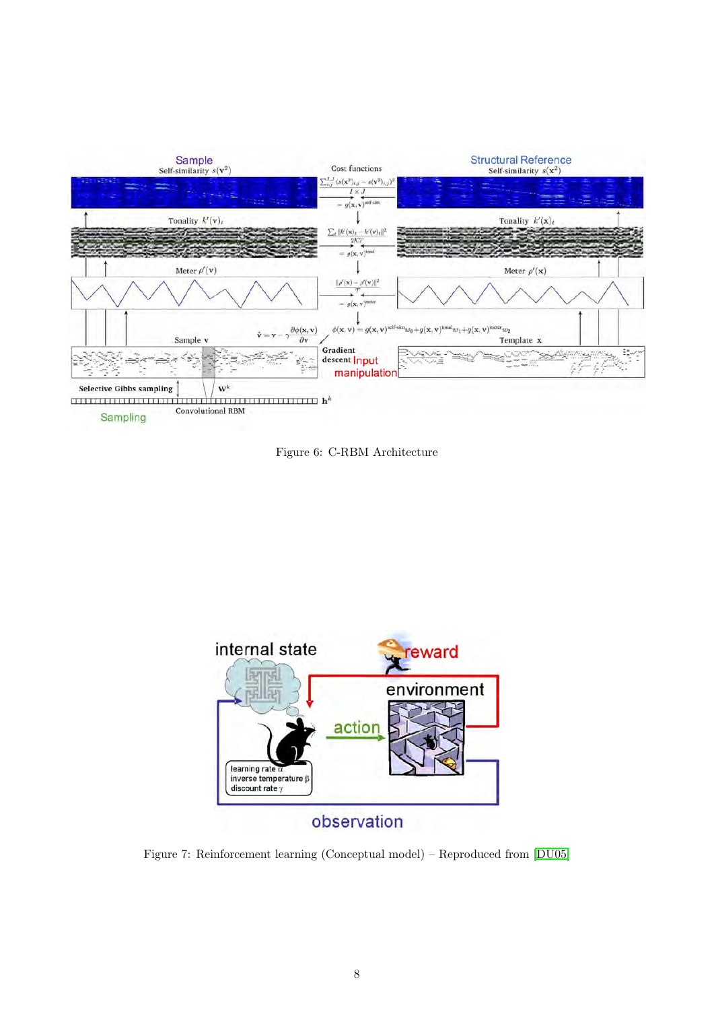

<span id="page-7-0"></span>Figure 6: C-RBM Architecture



<span id="page-7-1"></span>Figure 7: Reinforcement learning (Conceptual model) – Reproduced from [\[DU05\]](#page-14-6)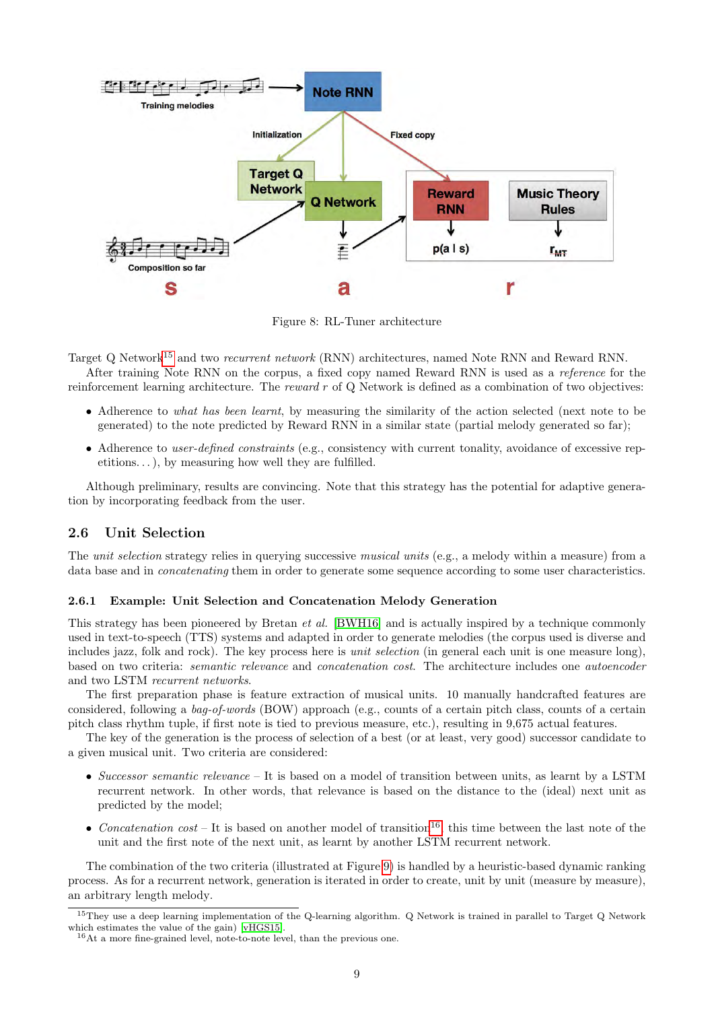

<span id="page-8-0"></span>Figure 8: RL-Tuner architecture

Target Q Network[15](#page-8-1) and two recurrent network (RNN) architectures, named Note RNN and Reward RNN.

After training Note RNN on the corpus, a fixed copy named Reward RNN is used as a reference for the reinforcement learning architecture. The reward r of Q Network is defined as a combination of two objectives:

- Adherence to what has been learnt, by measuring the similarity of the action selected (next note to be generated) to the note predicted by Reward RNN in a similar state (partial melody generated so far);
- Adherence to user-defined constraints (e.g., consistency with current tonality, avoidance of excessive repetitions...), by measuring how well they are fulfilled.

Although preliminary, results are convincing. Note that this strategy has the potential for adaptive generation by incorporating feedback from the user.

# <span id="page-8-3"></span>2.6 Unit Selection

The *unit selection* strategy relies in querying successive *musical units* (e.g., a melody within a measure) from a data base and in *concatenating* them in order to generate some sequence according to some user characteristics.

#### 2.6.1 Example: Unit Selection and Concatenation Melody Generation

This strategy has been pioneered by Bretan et al. [\[BWH16\]](#page-14-7) and is actually inspired by a technique commonly used in text-to-speech (TTS) systems and adapted in order to generate melodies (the corpus used is diverse and includes jazz, folk and rock). The key process here is *unit selection* (in general each unit is one measure long), based on two criteria: semantic relevance and concatenation cost. The architecture includes one autoencoder and two LSTM recurrent networks.

The first preparation phase is feature extraction of musical units. 10 manually handcrafted features are considered, following a bag-of-words (BOW) approach (e.g., counts of a certain pitch class, counts of a certain pitch class rhythm tuple, if first note is tied to previous measure, etc.), resulting in 9,675 actual features.

The key of the generation is the process of selection of a best (or at least, very good) successor candidate to a given musical unit. Two criteria are considered:

- Successor semantic relevance It is based on a model of transition between units, as learnt by a LSTM recurrent network. In other words, that relevance is based on the distance to the (ideal) next unit as predicted by the model;
- Concatenation  $cost It$  is based on another model of transition<sup>[16](#page-8-2)</sup>, this time between the last note of the unit and the first note of the next unit, as learnt by another LSTM recurrent network.

The combination of the two criteria (illustrated at Figure [9\)](#page-9-1) is handled by a heuristic-based dynamic ranking process. As for a recurrent network, generation is iterated in order to create, unit by unit (measure by measure), an arbitrary length melody.

<span id="page-8-1"></span><sup>15</sup>They use a deep learning implementation of the Q-learning algorithm. Q Network is trained in parallel to Target Q Network which estimates the value of the gain) [\[vHGS15\]](#page-16-7).

<span id="page-8-2"></span><sup>16</sup>At a more fine-grained level, note-to-note level, than the previous one.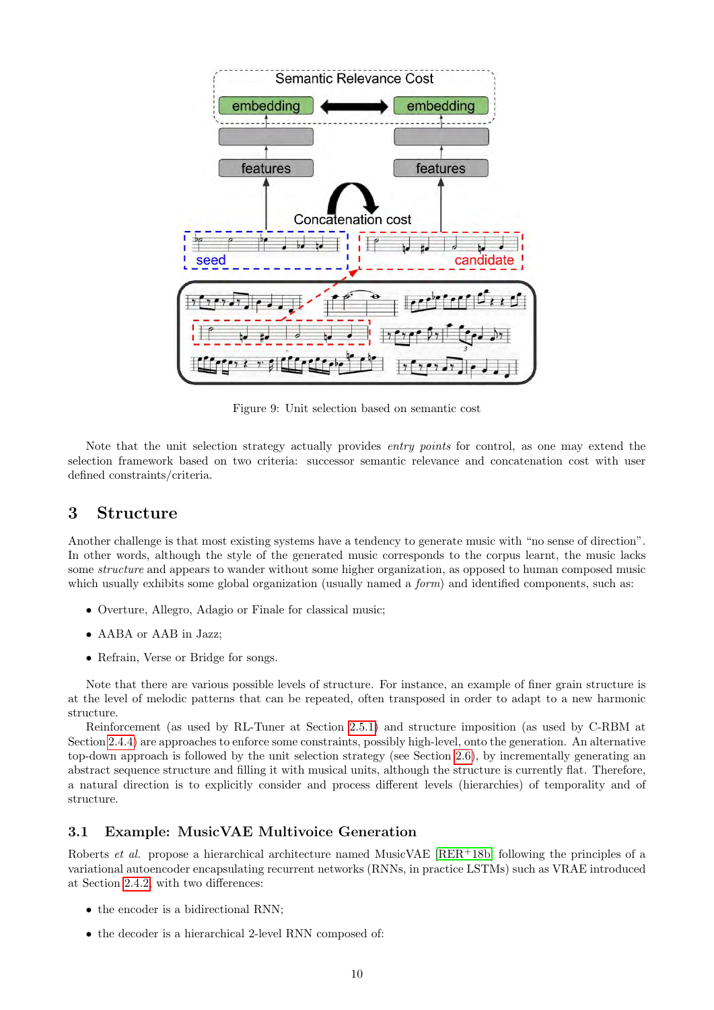

<span id="page-9-1"></span>Figure 9: Unit selection based on semantic cost

Note that the unit selection strategy actually provides entry points for control, as one may extend the selection framework based on two criteria: successor semantic relevance and concatenation cost with user defined constraints/criteria.

# <span id="page-9-0"></span>3 Structure

Another challenge is that most existing systems have a tendency to generate music with "no sense of direction". In other words, although the style of the generated music corresponds to the corpus learnt, the music lacks some structure and appears to wander without some higher organization, as opposed to human composed music which usually exhibits some global organization (usually named a *form*) and identified components, such as:

- Overture, Allegro, Adagio or Finale for classical music;
- AABA or AAB in Jazz;
- Refrain, Verse or Bridge for songs.

Note that there are various possible levels of structure. For instance, an example of finer grain structure is at the level of melodic patterns that can be repeated, often transposed in order to adapt to a new harmonic structure.

Reinforcement (as used by RL-Tuner at Section [2.5.1\)](#page-6-1) and structure imposition (as used by C-RBM at Section [2.4.4\)](#page-5-4) are approaches to enforce some constraints, possibly high-level, onto the generation. An alternative top-down approach is followed by the unit selection strategy (see Section [2.6\)](#page-8-3), by incrementally generating an abstract sequence structure and filling it with musical units, although the structure is currently flat. Therefore, a natural direction is to explicitly consider and process different levels (hierarchies) of temporality and of structure.

# 3.1 Example: MusicVAE Multivoice Generation

Roberts *et al.* propose a hierarchical architecture named MusicVAE  $[RER+18b]$  $[RER+18b]$  following the principles of a variational autoencoder encapsulating recurrent networks (RNNs, in practice LSTMs) such as VRAE introduced at Section [2.4.2,](#page-4-5) with two differences:

- the encoder is a bidirectional RNN;
- the decoder is a hierarchical 2-level RNN composed of: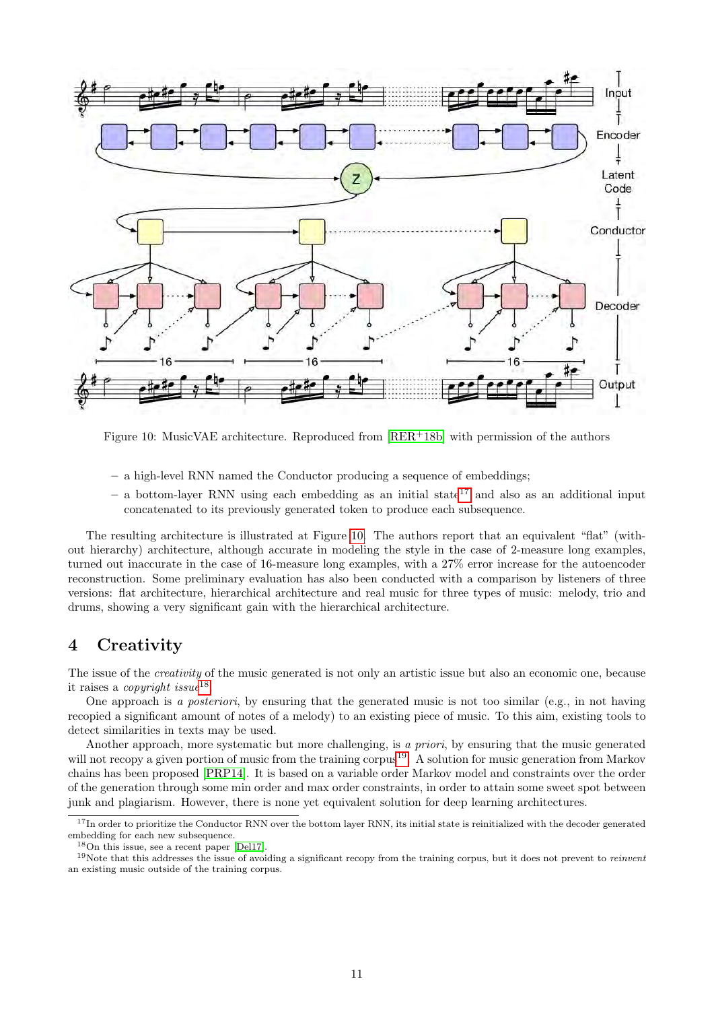

<span id="page-10-2"></span>Figure 10: MusicVAE architecture. Reproduced from  $[RER^+18b]$  $[RER^+18b]$  with permission of the authors

- a high-level RNN named the Conductor producing a sequence of embeddings;
- a bottom-layer RNN using each embedding as an initial state<sup>[17](#page-10-1)</sup> and also as an additional input concatenated to its previously generated token to produce each subsequence.

The resulting architecture is illustrated at Figure [10.](#page-10-2) The authors report that an equivalent "flat" (without hierarchy) architecture, although accurate in modeling the style in the case of 2-measure long examples, turned out inaccurate in the case of 16-measure long examples, with a 27% error increase for the autoencoder reconstruction. Some preliminary evaluation has also been conducted with a comparison by listeners of three versions: flat architecture, hierarchical architecture and real music for three types of music: melody, trio and drums, showing a very significant gain with the hierarchical architecture.

# <span id="page-10-0"></span>4 Creativity

The issue of the *creativity* of the music generated is not only an artistic issue but also an economic one, because it raises a *copyright issue*<sup>[18](#page-10-3)</sup>.

One approach is a posteriori, by ensuring that the generated music is not too similar (e.g., in not having recopied a significant amount of notes of a melody) to an existing piece of music. To this aim, existing tools to detect similarities in texts may be used.

Another approach, more systematic but more challenging, is a priori, by ensuring that the music generated will not recopy a given portion of music from the training corpus<sup>[19](#page-10-4)</sup>. A solution for music generation from Markov chains has been proposed [\[PRP14\]](#page-16-9). It is based on a variable order Markov model and constraints over the order of the generation through some min order and max order constraints, in order to attain some sweet spot between junk and plagiarism. However, there is none yet equivalent solution for deep learning architectures.

<span id="page-10-1"></span><sup>&</sup>lt;sup>17</sup>In order to prioritize the Conductor RNN over the bottom layer RNN, its initial state is reinitialized with the decoder generated embedding for each new subsequence.

<span id="page-10-4"></span><span id="page-10-3"></span><sup>18</sup>On this issue, see a recent paper [\[Del17\]](#page-14-8).

<sup>&</sup>lt;sup>19</sup>Note that this addresses the issue of avoiding a significant recopy from the training corpus, but it does not prevent to *reinvent* an existing music outside of the training corpus.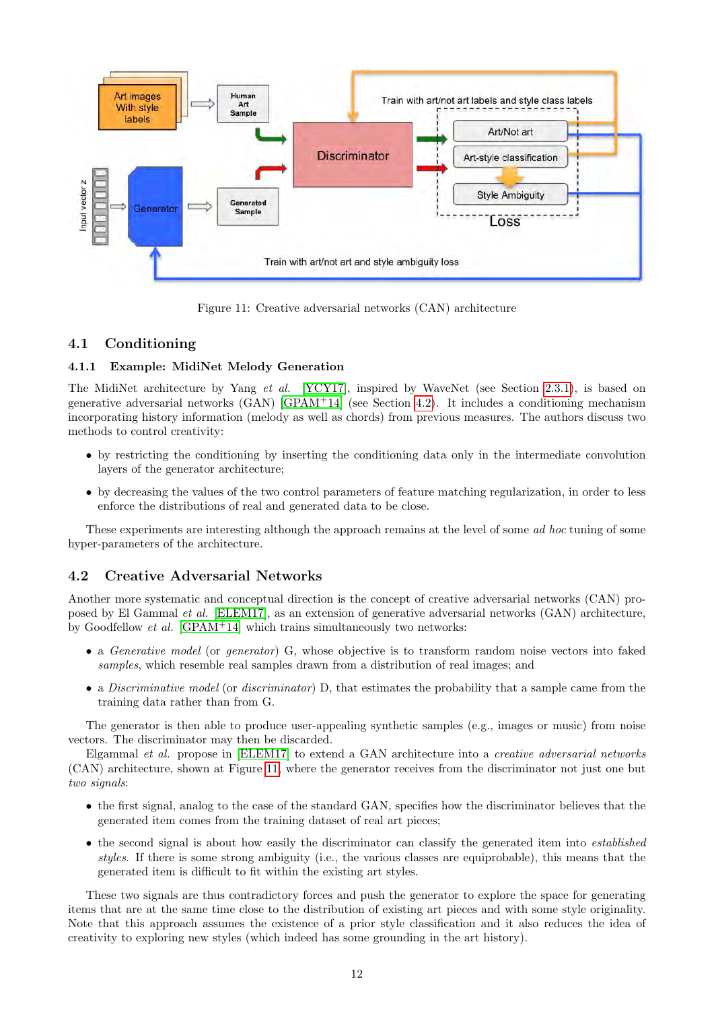

<span id="page-11-1"></span>Figure 11: Creative adversarial networks (CAN) architecture

# 4.1 Conditioning

### 4.1.1 Example: MidiNet Melody Generation

The MidiNet architecture by Yang et al. [\[YCY17\]](#page-16-2), inspired by WaveNet (see Section [2.3.1\)](#page-2-4), is based on generative adversarial networks  $(GAN)$   $[GPAM<sup>+</sup>14]$  $[GPAM<sup>+</sup>14]$  (see Section [4.2\)](#page-11-0). It includes a conditioning mechanism incorporating history information (melody as well as chords) from previous measures. The authors discuss two methods to control creativity:

- by restricting the conditioning by inserting the conditioning data only in the intermediate convolution layers of the generator architecture;
- by decreasing the values of the two control parameters of feature matching regularization, in order to less enforce the distributions of real and generated data to be close.

These experiments are interesting although the approach remains at the level of some *ad hoc* tuning of some hyper-parameters of the architecture.

# <span id="page-11-0"></span>4.2 Creative Adversarial Networks

Another more systematic and conceptual direction is the concept of creative adversarial networks (CAN) proposed by El Gammal et al. [\[ELEM17\]](#page-14-9), as an extension of generative adversarial networks (GAN) architecture, by Goodfellow et al. [\[GPAM](#page-15-19)<sup>+</sup>14] which trains simultaneously two networks:

- a Generative model (or generator) G, whose objective is to transform random noise vectors into faked samples, which resemble real samples drawn from a distribution of real images; and
- a *Discriminative model* (or *discriminator*) D, that estimates the probability that a sample came from the training data rather than from G.

The generator is then able to produce user-appealing synthetic samples (e.g., images or music) from noise vectors. The discriminator may then be discarded.

Elgammal et al. propose in [\[ELEM17\]](#page-14-9) to extend a GAN architecture into a creative adversarial networks (CAN) architecture, shown at Figure [11,](#page-11-1) where the generator receives from the discriminator not just one but two signals:

- the first signal, analog to the case of the standard GAN, specifies how the discriminator believes that the generated item comes from the training dataset of real art pieces;
- the second signal is about how easily the discriminator can classify the generated item into *established* styles. If there is some strong ambiguity (i.e., the various classes are equiprobable), this means that the generated item is difficult to fit within the existing art styles.

These two signals are thus contradictory forces and push the generator to explore the space for generating items that are at the same time close to the distribution of existing art pieces and with some style originality. Note that this approach assumes the existence of a prior style classification and it also reduces the idea of creativity to exploring new styles (which indeed has some grounding in the art history).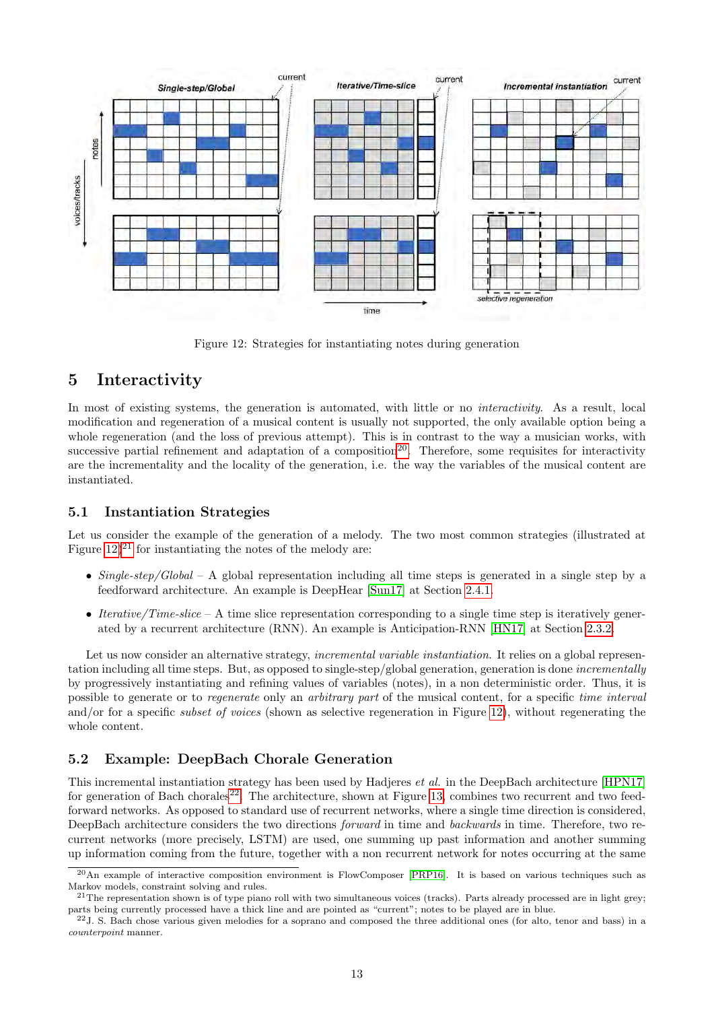

<span id="page-12-1"></span>Figure 12: Strategies for instantiating notes during generation

# <span id="page-12-0"></span>5 Interactivity

In most of existing systems, the generation is automated, with little or no *interactivity*. As a result, local modification and regeneration of a musical content is usually not supported, the only available option being a whole regeneration (and the loss of previous attempt). This is in contrast to the way a musician works, with successive partial refinement and adaptation of a composition<sup>[20](#page-12-2)</sup>. Therefore, some requisites for interactivity are the incrementality and the locality of the generation, i.e. the way the variables of the musical content are instantiated.

## 5.1 Instantiation Strategies

Let us consider the example of the generation of a melody. The two most common strategies (illustrated at Figure  $(12)^{21}$  $(12)^{21}$  $(12)^{21}$  for instantiating the notes of the melody are:

- Single-step/Global A global representation including all time steps is generated in a single step by a feedforward architecture. An example is DeepHear [\[Sun17\]](#page-16-4) at Section [2.4.1.](#page-4-6)
- Iterative/Time-slice A time slice representation corresponding to a single time step is iteratively generated by a recurrent architecture (RNN). An example is Anticipation-RNN [\[HN17\]](#page-15-10) at Section [2.3.2.](#page-2-5)

Let us now consider an alternative strategy, *incremental variable instantiation*. It relies on a global representation including all time steps. But, as opposed to single-step/global generation, generation is done incrementally by progressively instantiating and refining values of variables (notes), in a non deterministic order. Thus, it is possible to generate or to regenerate only an arbitrary part of the musical content, for a specific time interval and/or for a specific *subset of voices* (shown as selective regeneration in Figure [12\)](#page-12-1), without regenerating the whole content.

## 5.2 Example: DeepBach Chorale Generation

This incremental instantiation strategy has been used by Hadjeres et al. in the DeepBach architecture [\[HPN17\]](#page-15-20) for generation of Bach chorales<sup>[22](#page-12-4)</sup>. The architecture, shown at Figure [13,](#page-13-0) combines two recurrent and two feedforward networks. As opposed to standard use of recurrent networks, where a single time direction is considered, DeepBach architecture considers the two directions forward in time and backwards in time. Therefore, two recurrent networks (more precisely, LSTM) are used, one summing up past information and another summing up information coming from the future, together with a non recurrent network for notes occurring at the same

<span id="page-12-2"></span><sup>20</sup>An example of interactive composition environment is FlowComposer [\[PRP16\]](#page-16-10). It is based on various techniques such as Markov models, constraint solving and rules.

<span id="page-12-3"></span> $21$ The representation shown is of type piano roll with two simultaneous voices (tracks). Parts already processed are in light grey; parts being currently processed have a thick line and are pointed as "current"; notes to be played are in blue.

<span id="page-12-4"></span> $^{22}$ J. S. Bach chose various given melodies for a soprano and composed the three additional ones (for alto, tenor and bass) in a counterpoint manner.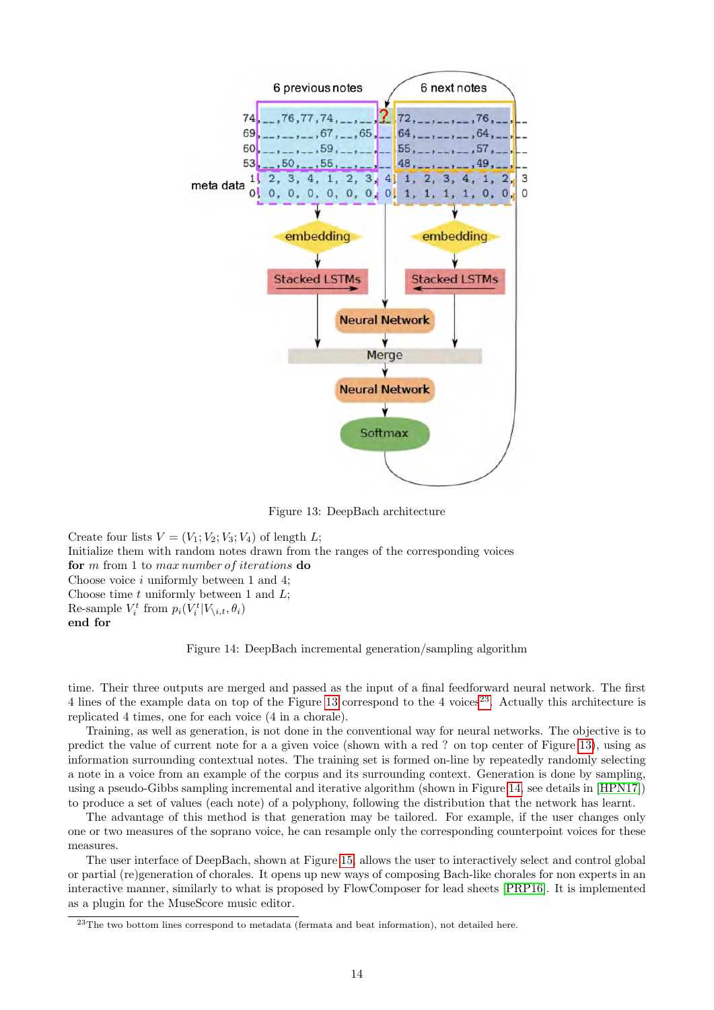

<span id="page-13-0"></span>Figure 13: DeepBach architecture

Create four lists  $V = (V_1; V_2; V_3; V_4)$  of length L; Initialize them with random notes drawn from the ranges of the corresponding voices for m from 1 to max number of iterations do Choose voice  $i$  uniformly between 1 and 4; Choose time  $t$  uniformly between 1 and  $L$ ; Re-sample  $V_i^t$  from  $p_i(V_i^t|V_{i,t}, \theta_i)$ end for

<span id="page-13-2"></span>Figure 14: DeepBach incremental generation/sampling algorithm

time. Their three outputs are merged and passed as the input of a final feedforward neural network. The first 4 lines of the example data on top of the Figure [13](#page-13-0) correspond to the 4 voices<sup>[23](#page-13-1)</sup>. Actually this architecture is replicated 4 times, one for each voice (4 in a chorale).

Training, as well as generation, is not done in the conventional way for neural networks. The objective is to predict the value of current note for a a given voice (shown with a red ? on top center of Figure [13\)](#page-13-0), using as information surrounding contextual notes. The training set is formed on-line by repeatedly randomly selecting a note in a voice from an example of the corpus and its surrounding context. Generation is done by sampling, using a pseudo-Gibbs sampling incremental and iterative algorithm (shown in Figure [14,](#page-13-2) see details in [\[HPN17\]](#page-15-20)) to produce a set of values (each note) of a polyphony, following the distribution that the network has learnt.

The advantage of this method is that generation may be tailored. For example, if the user changes only one or two measures of the soprano voice, he can resample only the corresponding counterpoint voices for these measures.

The user interface of DeepBach, shown at Figure [15,](#page-14-10) allows the user to interactively select and control global or partial (re)generation of chorales. It opens up new ways of composing Bach-like chorales for non experts in an interactive manner, similarly to what is proposed by FlowComposer for lead sheets [\[PRP16\]](#page-16-10). It is implemented as a plugin for the MuseScore music editor.

<span id="page-13-1"></span> $^{23}$ The two bottom lines correspond to metadata (fermata and beat information), not detailed here.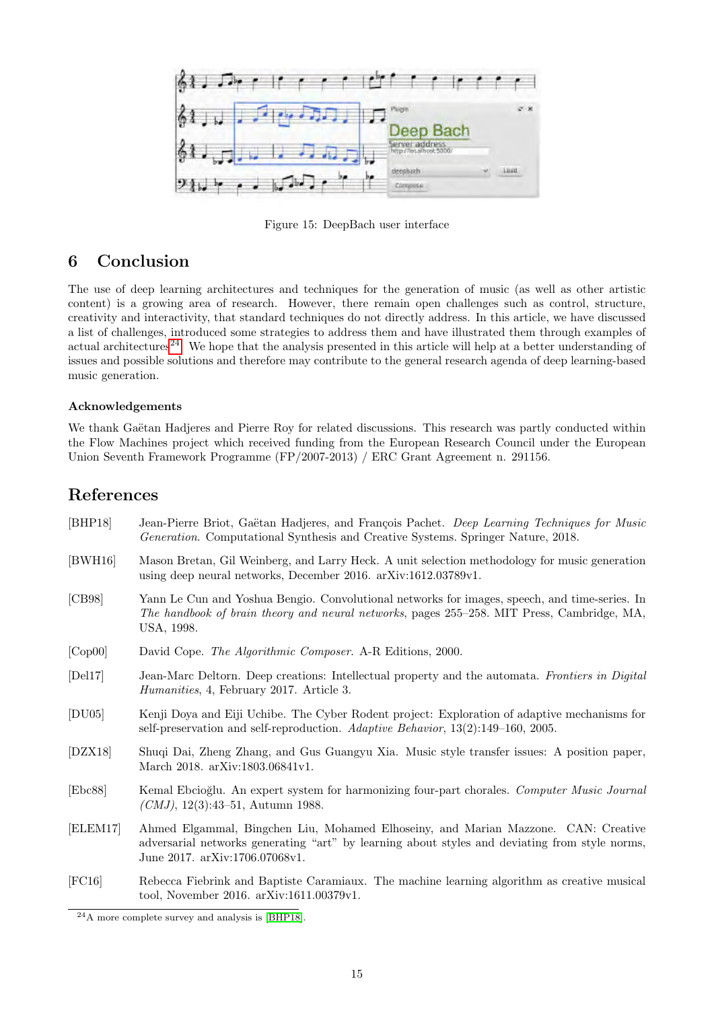

<span id="page-14-10"></span>Figure 15: DeepBach user interface

# 6 Conclusion

The use of deep learning architectures and techniques for the generation of music (as well as other artistic content) is a growing area of research. However, there remain open challenges such as control, structure, creativity and interactivity, that standard techniques do not directly address. In this article, we have discussed a list of challenges, introduced some strategies to address them and have illustrated them through examples of actual architectures<sup>[24](#page-14-11)</sup>. We hope that the analysis presented in this article will help at a better understanding of issues and possible solutions and therefore may contribute to the general research agenda of deep learning-based music generation.

### Acknowledgements

We thank Gaëtan Hadjeres and Pierre Roy for related discussions. This research was partly conducted within the Flow Machines project which received funding from the European Research Council under the European Union Seventh Framework Programme (FP/2007-2013) / ERC Grant Agreement n. 291156.

# References

- <span id="page-14-3"></span>[BHP18] Jean-Pierre Briot, Gaëtan Hadjeres, and François Pachet. Deep Learning Techniques for Music Generation. Computational Synthesis and Creative Systems. Springer Nature, 2018.
- <span id="page-14-7"></span>[BWH16] Mason Bretan, Gil Weinberg, and Larry Heck. A unit selection methodology for music generation using deep neural networks, December 2016. arXiv:1612.03789v1.
- <span id="page-14-0"></span>[CB98] Yann Le Cun and Yoshua Bengio. Convolutional networks for images, speech, and time-series. In The handbook of brain theory and neural networks, pages 255–258. MIT Press, Cambridge, MA, USA, 1998.
- <span id="page-14-4"></span>[Cop00] David Cope. The Algorithmic Composer. A-R Editions, 2000.
- <span id="page-14-8"></span>[Del17] Jean-Marc Deltorn. Deep creations: Intellectual property and the automata. Frontiers in Digital Humanities, 4, February 2017. Article 3.
- <span id="page-14-6"></span>[DU05] Kenji Doya and Eiji Uchibe. The Cyber Rodent project: Exploration of adaptive mechanisms for self-preservation and self-reproduction. Adaptive Behavior, 13(2):149–160, 2005.
- <span id="page-14-5"></span>[DZX18] Shuqi Dai, Zheng Zhang, and Gus Guangyu Xia. Music style transfer issues: A position paper, March 2018. arXiv:1803.06841v1.
- <span id="page-14-1"></span>[Ebc88] Kemal Ebcio˘glu. An expert system for harmonizing four-part chorales. Computer Music Journal  $(CMJ, 12(3):43-51,$  Autumn 1988.
- <span id="page-14-9"></span>[ELEM17] Ahmed Elgammal, Bingchen Liu, Mohamed Elhoseiny, and Marian Mazzone. CAN: Creative adversarial networks generating "art" by learning about styles and deviating from style norms, June 2017. arXiv:1706.07068v1.
- <span id="page-14-2"></span>[FC16] Rebecca Fiebrink and Baptiste Caramiaux. The machine learning algorithm as creative musical tool, November 2016. arXiv:1611.00379v1.

<span id="page-14-11"></span><sup>24</sup>A more complete survey and analysis is [\[BHP18\]](#page-14-3).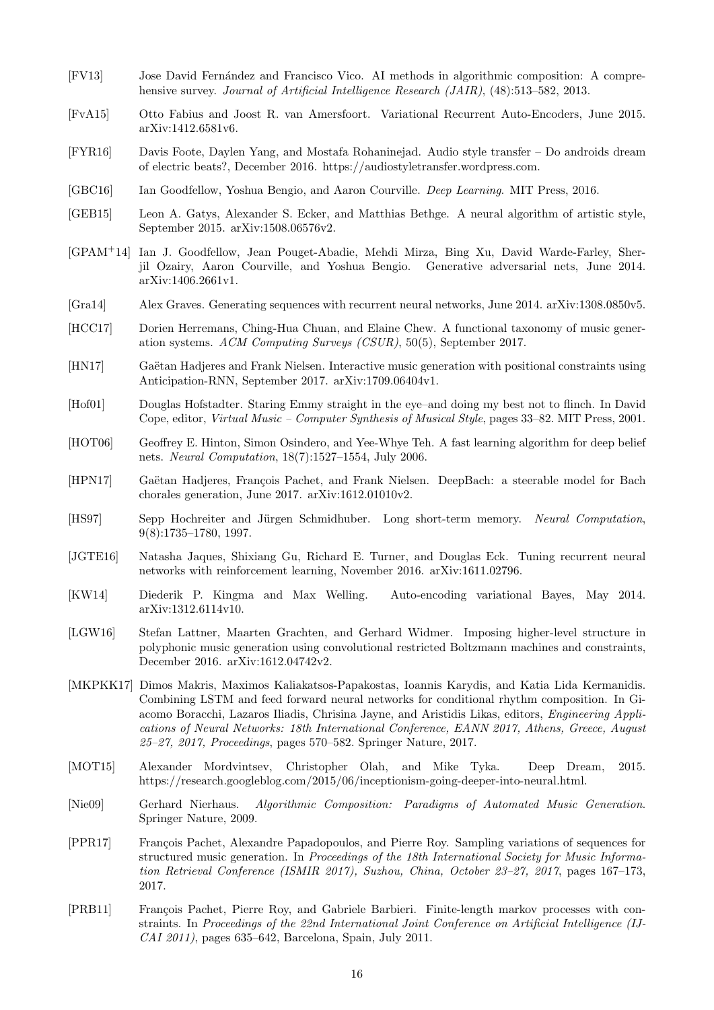- <span id="page-15-4"></span>[FV13] Jose David Fern´andez and Francisco Vico. AI methods in algorithmic composition: A comprehensive survey. *Journal of Artificial Intelligence Research (JAIR)*, (48):513–582, 2013.
- <span id="page-15-14"></span>[FvA15] Otto Fabius and Joost R. van Amersfoort. Variational Recurrent Auto-Encoders, June 2015. arXiv:1412.6581v6.
- <span id="page-15-16"></span>[FYR16] Davis Foote, Daylen Yang, and Mostafa Rohaninejad. Audio style transfer – Do androids dream of electric beats?, December 2016. https://audiostyletransfer.wordpress.com.
- <span id="page-15-2"></span>[GBC16] Ian Goodfellow, Yoshua Bengio, and Aaron Courville. Deep Learning. MIT Press, 2016.
- <span id="page-15-12"></span>[GEB15] Leon A. Gatys, Alexander S. Ecker, and Matthias Bethge. A neural algorithm of artistic style, September 2015. arXiv:1508.06576v2.
- <span id="page-15-19"></span>[GPAM<sup>+</sup>14] Ian J. Goodfellow, Jean Pouget-Abadie, Mehdi Mirza, Bing Xu, David Warde-Farley, Sherjil Ozairy, Aaron Courville, and Yoshua Bengio. Generative adversarial nets, June 2014. arXiv:1406.2661v1.
- <span id="page-15-6"></span>[Gra14] Alex Graves. Generating sequences with recurrent neural networks, June 2014. arXiv:1308.0850v5.
- <span id="page-15-3"></span>[HCC17] Dorien Herremans, Ching-Hua Chuan, and Elaine Chew. A functional taxonomy of music generation systems. ACM Computing Surveys (CSUR), 50(5), September 2017.
- <span id="page-15-10"></span>[HN17] Gaëtan Hadjeres and Frank Nielsen. Interactive music generation with positional constraints using Anticipation-RNN, September 2017. arXiv:1709.06404v1.
- <span id="page-15-17"></span>[Hof01] Douglas Hofstadter. Staring Emmy straight in the eye–and doing my best not to flinch. In David Cope, editor, Virtual Music – Computer Synthesis of Musical Style, pages 33–82. MIT Press, 2001.
- <span id="page-15-0"></span>[HOT06] Geoffrey E. Hinton, Simon Osindero, and Yee-Whye Teh. A fast learning algorithm for deep belief nets. Neural Computation, 18(7):1527–1554, July 2006.
- <span id="page-15-20"></span>[HPN17] Gaëtan Hadjeres, François Pachet, and Frank Nielsen. DeepBach: a steerable model for Bach chorales generation, June 2017. arXiv:1612.01010v2.
- <span id="page-15-1"></span>[HS97] Sepp Hochreiter and Jürgen Schmidhuber. Long short-term memory. Neural Computation, 9(8):1735–1780, 1997.
- <span id="page-15-18"></span>[JGTE16] Natasha Jaques, Shixiang Gu, Richard E. Turner, and Douglas Eck. Tuning recurrent neural networks with reinforcement learning, November 2016. arXiv:1611.02796.
- <span id="page-15-15"></span>[KW14] Diederik P. Kingma and Max Welling. Auto-encoding variational Bayes, May 2014. arXiv:1312.6114v10.
- <span id="page-15-13"></span>[LGW16] Stefan Lattner, Maarten Grachten, and Gerhard Widmer. Imposing higher-level structure in polyphonic music generation using convolutional restricted Boltzmann machines and constraints, December 2016. arXiv:1612.04742v2.
- <span id="page-15-9"></span>[MKPKK17] Dimos Makris, Maximos Kaliakatsos-Papakostas, Ioannis Karydis, and Katia Lida Kermanidis. Combining LSTM and feed forward neural networks for conditional rhythm composition. In Giacomo Boracchi, Lazaros Iliadis, Chrisina Jayne, and Aristidis Likas, editors, Engineering Applications of Neural Networks: 18th International Conference, EANN 2017, Athens, Greece, August 25–27, 2017, Proceedings, pages 570–582. Springer Nature, 2017.
- <span id="page-15-11"></span>[MOT15] Alexander Mordvintsev, Christopher Olah, and Mike Tyka. Deep Dream, 2015. https://research.googleblog.com/2015/06/inceptionism-going-deeper-into-neural.html.
- <span id="page-15-5"></span>[Nie09] Gerhard Nierhaus. Algorithmic Composition: Paradigms of Automated Music Generation. Springer Nature, 2009.
- <span id="page-15-8"></span>[PPR17] François Pachet, Alexandre Papadopoulos, and Pierre Roy. Sampling variations of sequences for structured music generation. In Proceedings of the 18th International Society for Music Information Retrieval Conference (ISMIR 2017), Suzhou, China, October 23–27, 2017, pages 167–173, 2017.
- <span id="page-15-7"></span>[PRB11] François Pachet, Pierre Roy, and Gabriele Barbieri. Finite-length markov processes with constraints. In Proceedings of the 22nd International Joint Conference on Artificial Intelligence (IJ-CAI 2011), pages 635–642, Barcelona, Spain, July 2011.